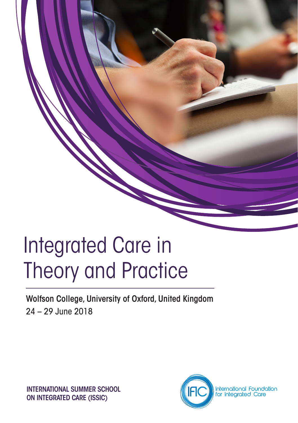# Integrated Care in Theory and Practice

Wolfson College, University of Oxford, United Kingdom 24 – 29 June 2018

INTERNATIONAL SUMMER SCHOOL ON INTEGRATED CARE (ISSIC)

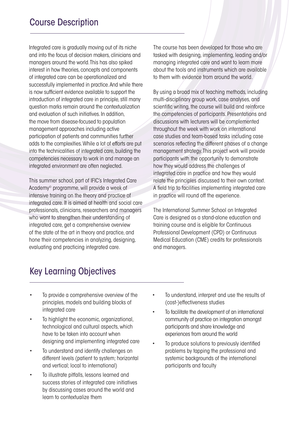Integrated care is gradually moving out of its niche and into the focus of decision makers, clinicians and managers around the world. This has also spiked interest in how theories, concepts and components of integrated care can be operationalized and successfully implemented in practice. And while there is now sufficient evidence available to support the introduction of integrated care in principle, still many question marks remain around the contextualization and evaluation of such initiatives. In addition, the move from disease-focused to population management approaches including active participation of patients and communities further adds to the complexities. While a lot of efforts are put into the technicalities of integrated care, building the competencies necessary to work in and manage an integrated environment are often neglected.

This summer school, part of IFIC's Integrated Care Academy© programme, will provide a week of intensive training on the theory and practice of integrated care. It is aimed at health and social care professionals, clinicians, researchers and managers who want to strengthen their understanding of integrated care, get a comprehensive overview of the state of the art in theory and practice, and hone their competencies in analyzing, designing, evaluating and practicing integrated care.

The course has been developed for those who are tasked with designing, implementing, leading and/or managing integrated care and want to learn more about the tools and instruments which are available to them with evidence from around the world.

By using a broad mix of teaching methods, including multi-disciplinary group work, case analyses, and scientific writing, the course will build and reinforce the competencies of participants. Presentations and discussions with lecturers will be complemented throughout the week with work on international case studies and team-based tasks including case scenarios reflecting the different phases of a change management strategy. This project work will provide participants with the opportunity to demonstrate how they would address the challenges of integrated care in practice and how they would relate the principles discussed to their own context. A field trip to facilities implementing integrated care in practice will round off the experience.

The International Summer School on Integrated Care is designed as a stand-alone education and training course and is eligible for Continuous Professional Development (CPD) or Continuous Medical Education (CME) credits for professionals and managers.

### Key Learning Objectives

- To provide a comprehensive overview of the principles, models and building blocks of integrated care
- To highlight the economic, organizational, technological and cultural aspects, which have to be taken into account when designing and implementing integrated care
- To understand and identify challenges on different levels (patient to system; horizontal and vertical; local to international)
- To illustrate pitfalls, lessons learned and success stories of integrated care initiatives by discussing cases around the world and learn to contextualize them
- To understand, interpret and use the results of (cost-)effectiveness studies
- To facilitate the development of an international community of practice on integration amongst participants and share knowledge and experiences from around the world
- To produce solutions to previously identified problems by tapping the professional and systemic backgrounds of the international participants and faculty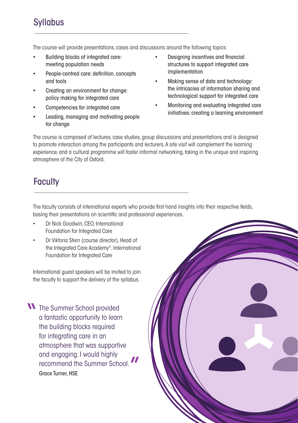### **Syllabus**

The course will provide presentations, cases and discussions around the following topics:

- Building blocks of integrated care: meeting population needs
- People-centred care: definition, concepts and tools
- Creating an environment for change: policy making for integrated care
- Competencies for integrated care
- Leading, managing and motivating people for change
- Designing incentives and financial structures to support integrated care implementation
- Making sense of data and technology: the intricacies of information sharing and technological support for integrated care
- Monitoring and evaluating integrated care initiatives: creating a learning environment

The course is composed of lectures, case studies, group discussions and presentations and is designed to promote interaction among the participants and lecturers. A site visit will complement the learning experience, and a cultural programme will foster informal networking, taking in the unique and inspiring atmosphere of the City of Oxford.

## **Faculty**

The faculty consists of international experts who provide first hand insights into their respective fields, basing their presentations on scientific and professional experiences.

- Dr Nick Goodwin, CEO, International Foundation for Integrated Care
- Dr Viktoria Stein (course director), Head of the Integrated Care Academy©, International Foundation for Integrated Care

International guest speakers will be invited to join the faculty to support the delivery of the syllabus.

**N** The Summer School provided a fantastic opportunity to learn the building blocks required for integrating care in an atmosphere that was supportive and engaging. I would highly recommend the Summer School. Grace Turner, HSF